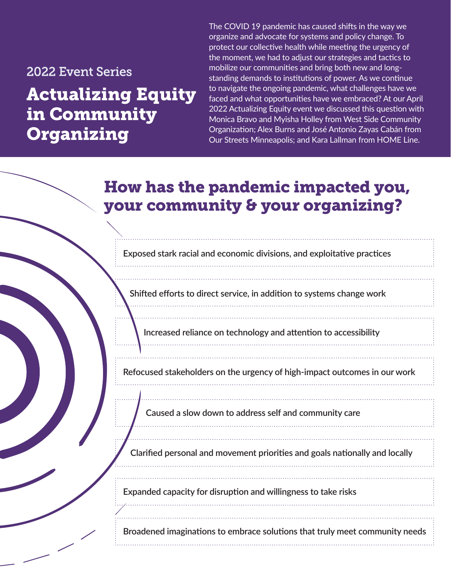# 2022 Event Series Actualizing Equity in Community Organizing

The COVID 19 pandemic has caused shifts in the way we organize and advocate for systems and policy change. To protect our collective health while meeting the urgency of the moment, we had to adjust our strategies and tactics to mobilize our communities and bring both new and longstanding demands to institutions of power. As we continue to navigate the ongoing pandemic, what challenges have we faced and what opportunities have we embraced? At our April 2022 Actualizing Equity event we discussed this question with Monica Bravo and Myisha Holley from West Side Community Organization; Alex Burns and José Antonio Zayas Cabán from Our Streets Minneapolis; and Kara Lallman from HOME Line.

# How has the pandemic impacted you, your community & your organizing?

**Exposed stark racial and economic divisions, and exploitative practices**

**Shifted efforts to direct service, in addition to systems change work**

**Increased reliance on technology and attention to accessibility**

**Refocused stakeholders on the urgency of high-impact outcomes in our work**

**Caused a slow down to address self and community care**

**Clarified personal and movement priorities and goals nationally and locally**

**Expanded capacity for disruption and willingness to take risks**

**Broadened imaginations to embrace solutions that truly meet community needs**